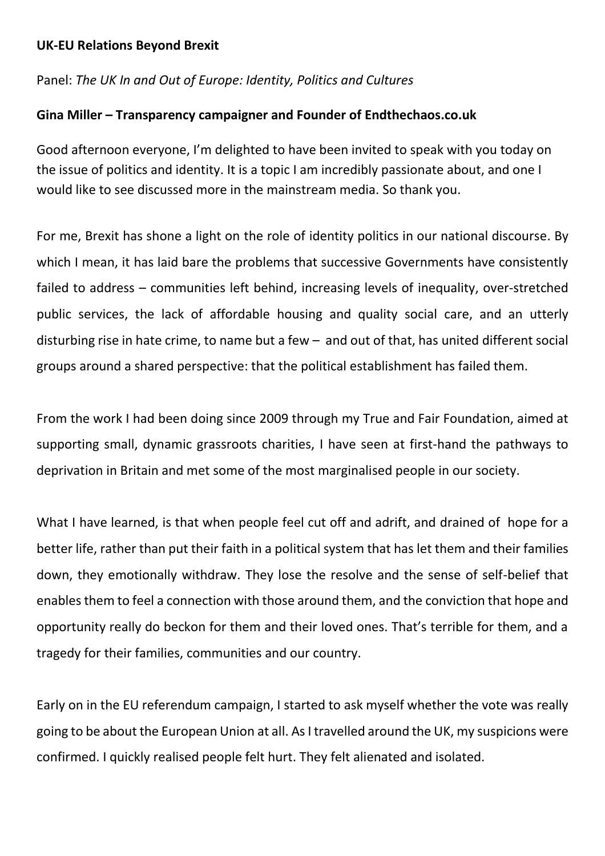## **UK-EU Relations Beyond Brexit**

## Panel: *The UK In and Out of Europe: Identity, Politics and Cultures*

## **Gina Miller – Transparency campaigner and Founder of Endthechaos.co.uk**

Good afternoon everyone, I'm delighted to have been invited to speak with you today on the issue of politics and identity. It is a topic I am incredibly passionate about, and one I would like to see discussed more in the mainstream media. So thank you.

For me, Brexit has shone a light on the role of identity politics in our national discourse. By which I mean, it has laid bare the problems that successive Governments have consistently failed to address – communities left behind, increasing levels of inequality, over-stretched public services, the lack of affordable housing and quality social care, and an utterly disturbing rise in hate crime, to name but a few – and out of that, has united different social groups around a shared perspective: that the political establishment has failed them.

From the work I had been doing since 2009 through my True and Fair Foundation, aimed at supporting small, dynamic grassroots charities, I have seen at first-hand the pathways to deprivation in Britain and met some of the most marginalised people in our society.

What I have learned, is that when people feel cut off and adrift, and drained of hope for a better life, rather than put their faith in a political system that has let them and their families down, they emotionally withdraw. They lose the resolve and the sense of self-belief that enables them to feel a connection with those around them, and the conviction that hope and opportunity really do beckon for them and their loved ones. That's terrible for them, and a tragedy for their families, communities and our country.

Early on in the EU referendum campaign, I started to ask myself whether the vote was really going to be about the European Union at all. As I travelled around the UK, my suspicions were confirmed. I quickly realised people felt hurt. They felt alienated and isolated.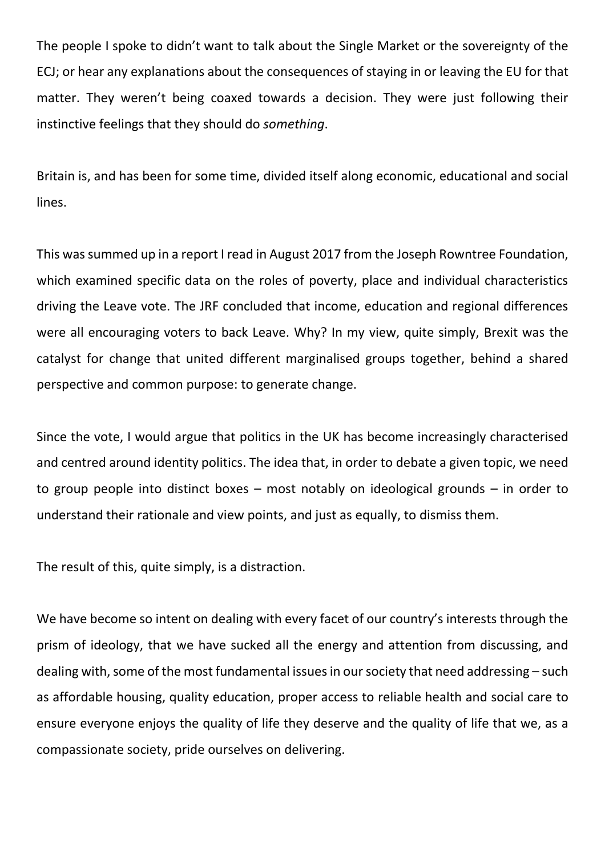The people I spoke to didn't want to talk about the Single Market or the sovereignty of the ECJ; or hear any explanations about the consequences of staying in or leaving the EU for that matter. They weren't being coaxed towards a decision. They were just following their instinctive feelings that they should do *something*.

Britain is, and has been for some time, divided itself along economic, educational and social lines.

This was summed up in a report I read in August 2017 from the Joseph Rowntree Foundation, which examined specific data on the roles of poverty, place and individual characteristics driving the Leave vote. The JRF concluded that income, education and regional differences were all encouraging voters to back Leave. Why? In my view, quite simply, Brexit was the catalyst for change that united different marginalised groups together, behind a shared perspective and common purpose: to generate change.

Since the vote, I would argue that politics in the UK has become increasingly characterised and centred around identity politics. The idea that, in order to debate a given topic, we need to group people into distinct boxes – most notably on ideological grounds – in order to understand their rationale and view points, and just as equally, to dismiss them.

The result of this, quite simply, is a distraction.

We have become so intent on dealing with every facet of our country's interests through the prism of ideology, that we have sucked all the energy and attention from discussing, and dealing with, some of the most fundamental issues in our society that need addressing – such as affordable housing, quality education, proper access to reliable health and social care to ensure everyone enjoys the quality of life they deserve and the quality of life that we, as a compassionate society, pride ourselves on delivering.